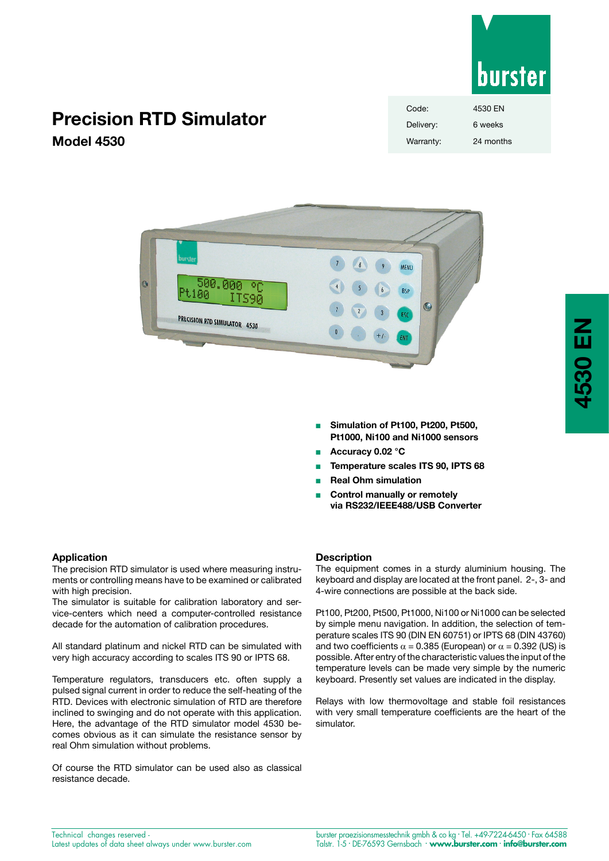

# **Precision RTD Simulator Model 4530**

| Code:     | 4530 EN   |
|-----------|-----------|
| Delivery: | 6 weeks   |
| Warranty: | 24 months |



- <sup>n</sup> **Simulation of Pt100, Pt200, Pt500, Pt1000, Ni100 and Ni1000 sensors**
- <sup>n</sup> **Accuracy 0.02 °C**
- **n** Temperature scales ITS 90, IPTS 68
- <sup>n</sup> **Real Ohm simulation**
- **Control manually or remotely via RS232/IEEE488/USB Converter**

The precision RTD simulator is used where measuring instruments or controlling means have to be examined or calibrated with high precision.

The simulator is suitable for calibration laboratory and service-centers which need a computer-controlled resistance decade for the automation of calibration procedures.

All standard platinum and nickel RTD can be simulated with very high accuracy according to scales ITS 90 or IPTS 68.

Temperature regulators, transducers etc. often supply a pulsed signal current in order to reduce the self-heating of the RTD. Devices with electronic simulation of RTD are therefore inclined to swinging and do not operate with this application. Here, the advantage of the RTD simulator model 4530 becomes obvious as it can simulate the resistance sensor by real Ohm simulation without problems.

Of course the RTD simulator can be used also as classical resistance decade.

#### **Description**

The equipment comes in a sturdy aluminium housing. The keyboard and display are located at the front panel. 2-, 3- and 4-wire connections are possible at the back side.

Pt100, Pt200, Pt500, Pt1000, Ni100 or Ni1000 can be selected by simple menu navigation. In addition, the selection of temperature scales ITS 90 (DIN EN 60751) or IPTS 68 (DIN 43760) and two coefficients  $\alpha$  = 0.385 (European) or  $\alpha$  = 0.392 (US) is possible. After entry of the characteristic values the input of the temperature levels can be made very simple by the numeric keyboard. Presently set values are indicated in the display.

Relays with low thermovoltage and stable foil resistances with very small temperature coefficients are the heart of the simulator.

Technical changes reserved - Latest updates of data sheet always under www.burster.com